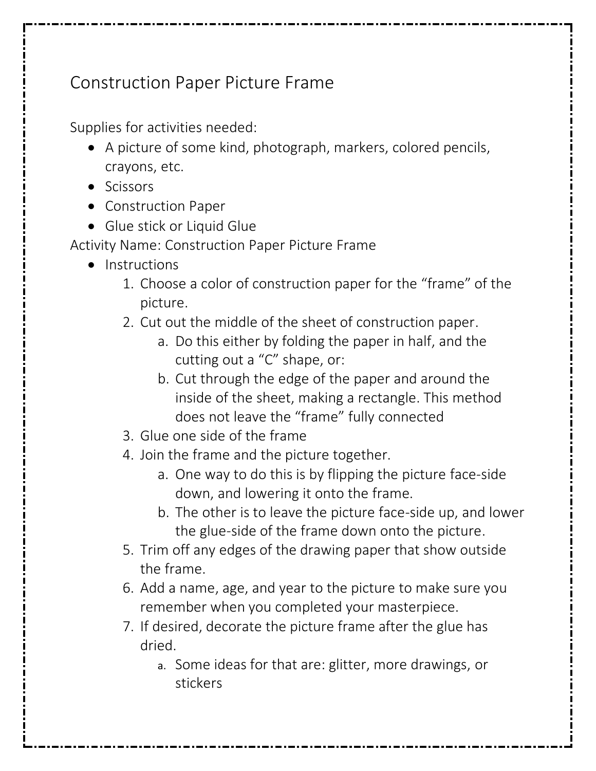## Construction Paper Picture Frame

Supplies for activities needed:

- A picture of some kind, photograph, markers, colored pencils, crayons, etc.
- Scissors
- Construction Paper
- Glue stick or Liquid Glue

Activity Name: Construction Paper Picture Frame

- Instructions
	- 1. Choose a color of construction paper for the "frame" of the picture.
	- 2. Cut out the middle of the sheet of construction paper.
		- a. Do this either by folding the paper in half, and the cutting out a "C" shape, or:
		- b. Cut through the edge of the paper and around the inside of the sheet, making a rectangle. This method does not leave the "frame" fully connected
	- 3. Glue one side of the frame
	- 4. Join the frame and the picture together.
		- a. One way to do this is by flipping the picture face-side down, and lowering it onto the frame.
		- b. The other is to leave the picture face-side up, and lower the glue-side of the frame down onto the picture.
	- 5. Trim off any edges of the drawing paper that show outside the frame.
	- 6. Add a name, age, and year to the picture to make sure you remember when you completed your masterpiece.
	- 7. If desired, decorate the picture frame after the glue has dried.
		- a. Some ideas for that are: glitter, more drawings, or stickers